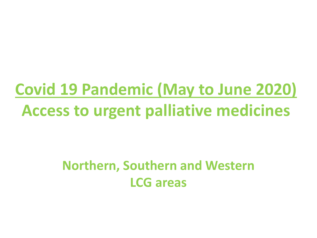## **Covid 19 Pandemic (May to June 2020) Access to urgent palliative medicines**

#### **Northern, Southern and Western LCG areas**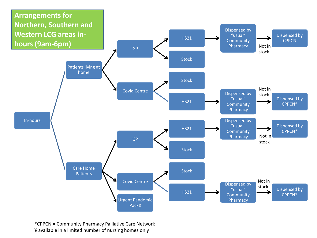

\*CPPCN = Community Pharmacy Palliative Care Network ¥ available in a limited number of nursing homes only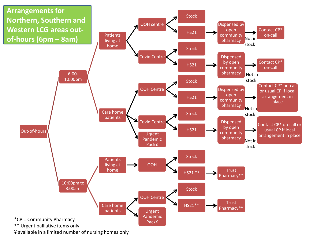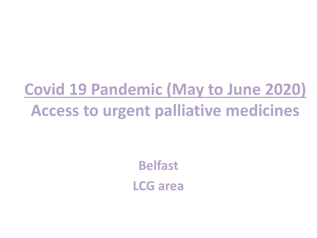## **Covid 19 Pandemic (May to June 2020) Access to urgent palliative medicines**

**Belfast LCG area**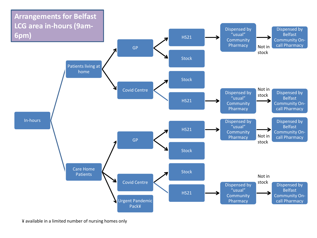

¥ available in a limited number of nursing homes only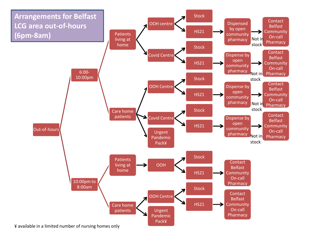

¥ available in a limited number of nursing homes only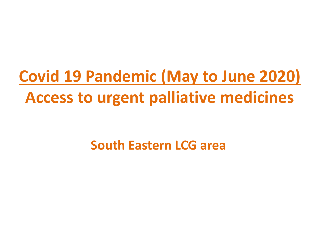# **Covid 19 Pandemic (May to June 2020) Access to urgent palliative medicines**

#### **South Eastern LCG area**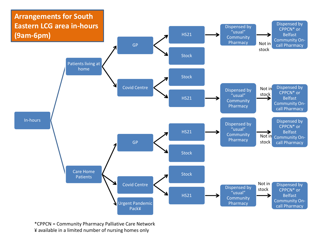

\*CPPCN = Community Pharmacy Palliative Care Network ¥ available in a limited number of nursing homes only